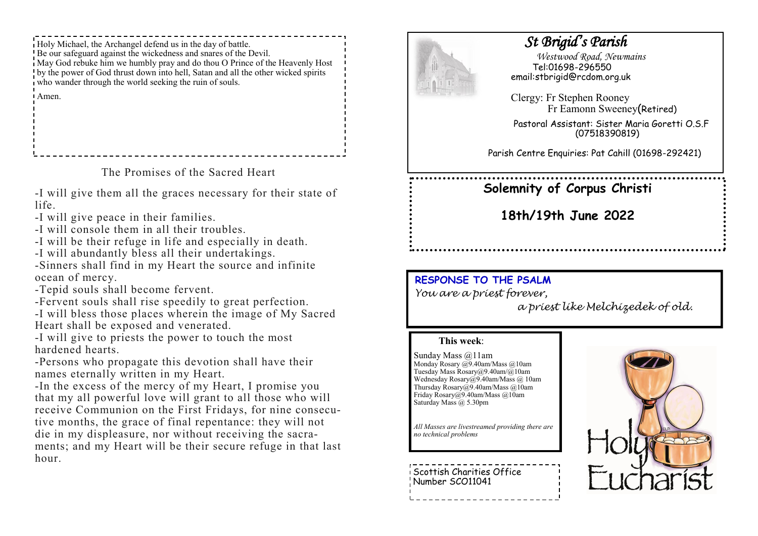Holy Michael, the Archangel defend us in the day of battle. Be our safeguard against the wickedness and snares of the Devil. May God rebuke him we humbly pray and do thou O Prince of the Heavenly Host by the power of God thrust down into hell, Satan and all the other wicked spirits who wander through the world seeking the ruin of souls. Amen.

The Promises of the Sacred Heart

-I will give them all the graces necessary for their state of life.

- -I will give peace in their families.
- -I will console them in all their troubles.
- -I will be their refuge in life and especially in death.
- -I will abundantly bless all their undertakings.

-Sinners shall find in my Heart the source and infinite ocean of mercy.

- -Tepid souls shall become fervent.
- -Fervent souls shall rise speedily to great perfection.
- -I will bless those places wherein the image of My Sacred Heart shall be exposed and venerated.
- -I will give to priests the power to touch the most hardened hearts.

-Persons who propagate this devotion shall have their names eternally written in my Heart.

-In the excess of the mercy of my Heart, I promise you that my all powerful love will grant to all those who will receive Communion on the First Fridays, for nine consecutive months, the grace of final repentance: they will not die in my displeasure, nor without receiving the sacraments; and my Heart will be their secure refuge in that last hour.



# *St Brigid's Parish*

 *Westwood Road, Newmains* Tel:01698-296550 email:stbrigid@rcdom.org.uk

Clergy: Fr Stephen Rooney Fr Eamonn Sweeney(Retired)

Pastoral Assistant: Sister Maria Goretti O.S.F (07518390819)

Parish Centre Enquiries: Pat Cahill (01698-292421)

# **Solemnity of Corpus Christi**

**18th/19th June 2022**

# **RESPONSE TO THE PSALM**

*You are a priest forever,* 

*a priest like Melchizedek of old.*

## **This week**:

Sunday Mass @11am Monday Rosary @9.40am/Mass @10am Tuesday Mass Rosary@9.40am/@10am Wednesday Rosary@9.40am/Mass @ 10am Thursday Rosary@9.40am/Mass @10am Friday Rosary@9.40am/Mass @10am Saturday Mass @ 5.30pm

*All Masses are livestreamed providing there are no technical problems*

Scottish Charities Office Number SCO11041